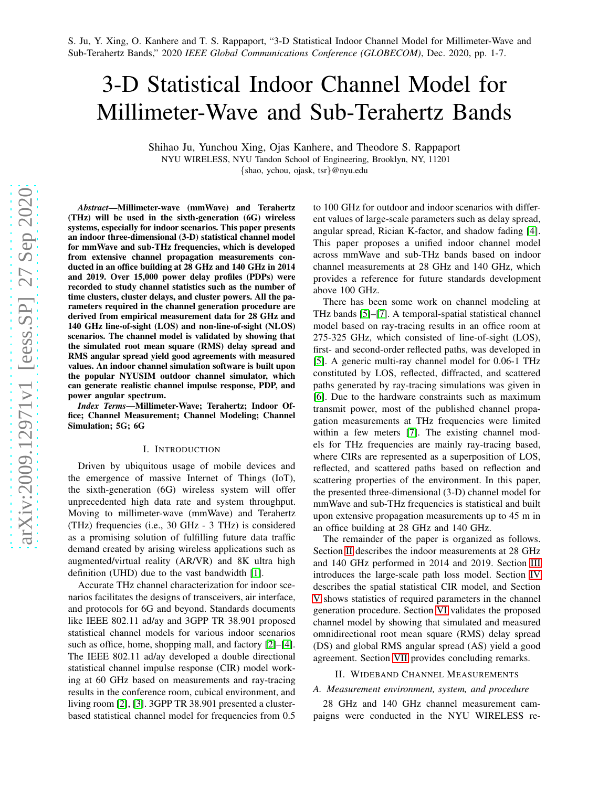# 3-D Statistical Indoor Channel Model for Millimeter-Wave and Sub-Terahertz Bands

Shihao Ju, Yunchou Xing, Ojas Kanhere, and Theodore S. Rappaport NYU WIRELESS, NYU Tandon School of Engineering, Brooklyn, NY, 11201 {shao, ychou, ojask, tsr}@nyu.edu

*Abstract*—Millimeter-wave (mmWave) and Terahertz (THz) will be used in the sixth-generation (6G) wireless systems, especially for indoor scenarios. This paper presents an indoor three-dimensional (3-D) statistical channel model for mmWave and sub-THz frequencies, which is developed from extensive channel propagation measurements conducted in an office building at 28 GHz and 140 GHz in 2014 and 2019. Over 15,000 power delay profiles (PDPs) were recorded to study channel statistics such as the number of time clusters, cluster delays, and cluster powers. All the parameters required in the channel generation procedure are derived from empirical measurement data for 28 GHz and 140 GHz line-of-sight (LOS) and non-line-of-sight (NLOS) scenarios. The channel model is validated by showing that the simulated root mean square (RMS) delay spread and RMS angular spread yield good agreements with measured values. An indoor channel simulation software is built upon the popular NYUSIM outdoor channel simulator, which can generate realistic channel impulse response, PDP, and power angular spectrum.

*Index Terms*—Millimeter-Wave; Terahertz; Indoor Office; Channel Measurement; Channel Modeling; Channel Simulation; 5G; 6G

#### I. INTRODUCTION

Driven by ubiquitous usage of mobile devices and the emergence of massive Internet of Things (IoT), the sixth-generation (6G) wireless system will offer unprecedented high data rate and system throughput. Moving to millimeter-wave (mmWave) and Terahertz (THz) frequencies (i.e., 30 GHz - 3 THz) is considered as a promising solution of fulfilling future data traffic demand created by arising wireless applications such as augmented/virtual reality (AR/VR) and 8K ultra high definition (UHD) due to the vast bandwidth [\[1\]](#page-6-0).

Accurate THz channel characterization for indoor scenarios facilitates the designs of transceivers, air interface, and protocols for 6G and beyond. Standards documents like IEEE 802.11 ad/ay and 3GPP TR 38.901 proposed statistical channel models for various indoor scenarios such as office, home, shopping mall, and factory [\[2\]](#page-6-1)–[\[4\]](#page-6-2). The IEEE 802.11 ad/ay developed a double directional statistical channel impulse response (CIR) model working at 60 GHz based on measurements and ray-tracing results in the conference room, cubical environment, and living room [\[2\]](#page-6-1), [\[3\]](#page-6-3). 3GPP TR 38.901 presented a clusterbased statistical channel model for frequencies from 0.5 to 100 GHz for outdoor and indoor scenarios with different values of large-scale parameters such as delay spread, angular spread, Rician K-factor, and shadow fading [\[4\]](#page-6-2). This paper proposes a unified indoor channel model across mmWave and sub-THz bands based on indoor channel measurements at 28 GHz and 140 GHz, which provides a reference for future standards development above 100 GHz.

There has been some work on channel modeling at THz bands [\[5\]](#page-6-4)–[\[7\]](#page-6-5). A temporal-spatial statistical channel model based on ray-tracing results in an office room at 275-325 GHz, which consisted of line-of-sight (LOS), first- and second-order reflected paths, was developed in [\[5\]](#page-6-4). A generic multi-ray channel model for 0.06-1 THz constituted by LOS, reflected, diffracted, and scattered paths generated by ray-tracing simulations was given in [\[6\]](#page-6-6). Due to the hardware constraints such as maximum transmit power, most of the published channel propagation measurements at THz frequencies were limited within a few meters [\[7\]](#page-6-5). The existing channel models for THz frequencies are mainly ray-tracing based, where CIRs are represented as a superposition of LOS, reflected, and scattered paths based on reflection and scattering properties of the environment. In this paper, the presented three-dimensional (3-D) channel model for mmWave and sub-THz frequencies is statistical and built upon extensive propagation measurements up to 45 m in an office building at 28 GHz and 140 GHz.

The remainder of the paper is organized as follows. Section [II](#page-0-0) describes the indoor measurements at 28 GHz and 140 GHz performed in 2014 and 2019. Section [III](#page-1-0) introduces the large-scale path loss model. Section [IV](#page-2-0) describes the spatial statistical CIR model, and Section [V](#page-3-0) shows statistics of required parameters in the channel generation procedure. Section [VI](#page-5-0) validates the proposed channel model by showing that simulated and measured omnidirectional root mean square (RMS) delay spread (DS) and global RMS angular spread (AS) yield a good agreement. Section [VII](#page-5-1) provides concluding remarks.

### <span id="page-0-0"></span>II. WIDEBAND CHANNEL MEASUREMENTS

#### *A. Measurement environment, system, and procedure*

28 GHz and 140 GHz channel measurement campaigns were conducted in the NYU WIRELESS re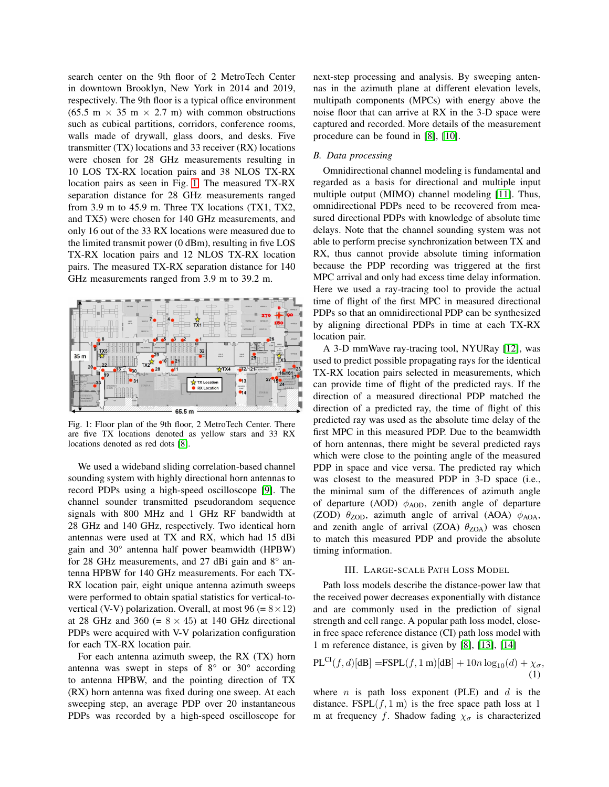search center on the 9th floor of 2 MetroTech Center in downtown Brooklyn, New York in 2014 and 2019, respectively. The 9th floor is a typical office environment  $(65.5 \text{ m} \times 35 \text{ m} \times 2.7 \text{ m})$  with common obstructions such as cubical partitions, corridors, conference rooms, walls made of drywall, glass doors, and desks. Five transmitter (TX) locations and 33 receiver (RX) locations were chosen for 28 GHz measurements resulting in 10 LOS TX-RX location pairs and 38 NLOS TX-RX location pairs as seen in Fig. [1.](#page-1-1) The measured TX-RX separation distance for 28 GHz measurements ranged from 3.9 m to 45.9 m. Three TX locations (TX1, TX2, and TX5) were chosen for 140 GHz measurements, and only 16 out of the 33 RX locations were measured due to the limited transmit power (0 dBm), resulting in five LOS TX-RX location pairs and 12 NLOS TX-RX location pairs. The measured TX-RX separation distance for 140 GHz measurements ranged from 3.9 m to 39.2 m.

<span id="page-1-1"></span>

Fig. 1: Floor plan of the 9th floor, 2 MetroTech Center. There are five TX locations denoted as yellow stars and 33 RX locations denoted as red dots [\[8\]](#page-6-7).

We used a wideband sliding correlation-based channel sounding system with highly directional horn antennas to record PDPs using a high-speed oscilloscope [\[9\]](#page-6-8). The channel sounder transmitted pseudorandom sequence signals with 800 MHz and 1 GHz RF bandwidth at 28 GHz and 140 GHz, respectively. Two identical horn antennas were used at TX and RX, which had 15 dBi gain and 30° antenna half power beamwidth (HPBW) for 28 GHz measurements, and 27 dBi gain and 8° antenna HPBW for 140 GHz measurements. For each TX-RX location pair, eight unique antenna azimuth sweeps were performed to obtain spatial statistics for vertical-tovertical (V-V) polarization. Overall, at most 96 (=  $8 \times 12$ ) at 28 GHz and 360 (=  $8 \times 45$ ) at 140 GHz directional PDPs were acquired with V-V polarization configuration for each TX-RX location pair.

For each antenna azimuth sweep, the RX (TX) horn antenna was swept in steps of 8° or 30° according to antenna HPBW, and the pointing direction of TX (RX) horn antenna was fixed during one sweep. At each sweeping step, an average PDP over 20 instantaneous PDPs was recorded by a high-speed oscilloscope for next-step processing and analysis. By sweeping antennas in the azimuth plane at different elevation levels, multipath components (MPCs) with energy above the noise floor that can arrive at RX in the 3-D space were captured and recorded. More details of the measurement procedure can be found in [\[8\]](#page-6-7), [\[10\]](#page-6-9).

### *B. Data processing*

Omnidirectional channel modeling is fundamental and regarded as a basis for directional and multiple input multiple output (MIMO) channel modeling [\[11\]](#page-6-10). Thus, omnidirectional PDPs need to be recovered from measured directional PDPs with knowledge of absolute time delays. Note that the channel sounding system was not able to perform precise synchronization between TX and RX, thus cannot provide absolute timing information because the PDP recording was triggered at the first MPC arrival and only had excess time delay information. Here we used a ray-tracing tool to provide the actual time of flight of the first MPC in measured directional PDPs so that an omnidirectional PDP can be synthesized by aligning directional PDPs in time at each TX-RX location pair.

A 3-D mmWave ray-tracing tool, NYURay [\[12\]](#page-6-11), was used to predict possible propagating rays for the identical TX-RX location pairs selected in measurements, which can provide time of flight of the predicted rays. If the direction of a measured directional PDP matched the direction of a predicted ray, the time of flight of this predicted ray was used as the absolute time delay of the first MPC in this measured PDP. Due to the beamwidth of horn antennas, there might be several predicted rays which were close to the pointing angle of the measured PDP in space and vice versa. The predicted ray which was closest to the measured PDP in 3-D space (i.e., the minimal sum of the differences of azimuth angle of departure (AOD)  $\phi_{AOD}$ , zenith angle of departure (ZOD)  $\theta_{\text{ZOD}}$ , azimuth angle of arrival (AOA)  $\phi_{\text{AOA}}$ , and zenith angle of arrival (ZOA)  $\theta_{ZOA}$ ) was chosen to match this measured PDP and provide the absolute timing information.

## III. LARGE-SCALE PATH LOSS MODEL

<span id="page-1-0"></span>Path loss models describe the distance-power law that the received power decreases exponentially with distance and are commonly used in the prediction of signal strength and cell range. A popular path loss model, closein free space reference distance (CI) path loss model with 1 m reference distance, is given by [\[8\]](#page-6-7), [\[13\]](#page-6-12), [\[14\]](#page-6-13)

$$
PL^{CI}(f, d)[dB] = FSPL(f, 1 m)[dB] + 10n \log_{10}(d) + \chi_{\sigma},
$$
\n(1)

where *n* is path loss exponent (PLE) and  $d$  is the distance. FSPL $(f, 1 \text{ m})$  is the free space path loss at 1 m at frequency f. Shadow fading  $\chi_{\sigma}$  is characterized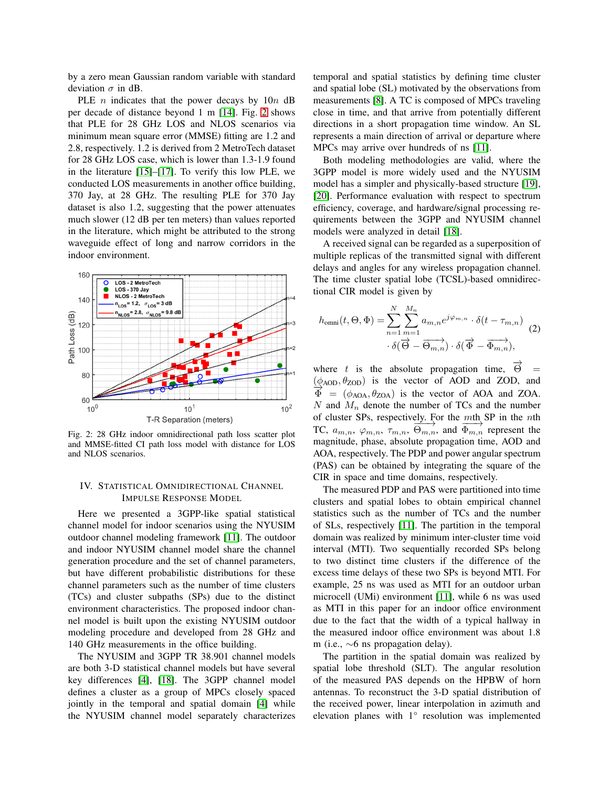by a zero mean Gaussian random variable with standard deviation  $\sigma$  in dB.

PLE  $n$  indicates that the power decays by  $10n$  dB per decade of distance beyond 1 m [\[14\]](#page-6-13). Fig. [2](#page-2-1) shows that PLE for 28 GHz LOS and NLOS scenarios via minimum mean square error (MMSE) fitting are 1.2 and 2.8, respectively. 1.2 is derived from 2 MetroTech dataset for 28 GHz LOS case, which is lower than 1.3-1.9 found in the literature [\[15\]](#page-6-14)–[\[17\]](#page-6-15). To verify this low PLE, we conducted LOS measurements in another office building, 370 Jay, at 28 GHz. The resulting PLE for 370 Jay dataset is also 1.2, suggesting that the power attenuates much slower (12 dB per ten meters) than values reported in the literature, which might be attributed to the strong waveguide effect of long and narrow corridors in the indoor environment.

<span id="page-2-1"></span>

Fig. 2: 28 GHz indoor omnidirectional path loss scatter plot and MMSE-fitted CI path loss model with distance for LOS and NLOS scenarios.

# <span id="page-2-0"></span>IV. STATISTICAL OMNIDIRECTIONAL CHANNEL IMPULSE RESPONSE MODEL

Here we presented a 3GPP-like spatial statistical channel model for indoor scenarios using the NYUSIM outdoor channel modeling framework [\[11\]](#page-6-10). The outdoor and indoor NYUSIM channel model share the channel generation procedure and the set of channel parameters, but have different probabilistic distributions for these channel parameters such as the number of time clusters (TCs) and cluster subpaths (SPs) due to the distinct environment characteristics. The proposed indoor channel model is built upon the existing NYUSIM outdoor modeling procedure and developed from 28 GHz and 140 GHz measurements in the office building.

The NYUSIM and 3GPP TR 38.901 channel models are both 3-D statistical channel models but have several key differences [\[4\]](#page-6-2), [\[18\]](#page-6-16). The 3GPP channel model defines a cluster as a group of MPCs closely spaced jointly in the temporal and spatial domain [\[4\]](#page-6-2) while the NYUSIM channel model separately characterizes temporal and spatial statistics by defining time cluster and spatial lobe (SL) motivated by the observations from measurements [\[8\]](#page-6-7). A TC is composed of MPCs traveling close in time, and that arrive from potentially different directions in a short propagation time window. An SL represents a main direction of arrival or departure where MPCs may arrive over hundreds of ns [\[11\]](#page-6-10).

Both modeling methodologies are valid, where the 3GPP model is more widely used and the NYUSIM model has a simpler and physically-based structure [\[19\]](#page-6-17), [\[20\]](#page-6-18). Performance evaluation with respect to spectrum efficiency, coverage, and hardware/signal processing requirements between the 3GPP and NYUSIM channel models were analyzed in detail [\[18\]](#page-6-16).

A received signal can be regarded as a superposition of multiple replicas of the transmitted signal with different delays and angles for any wireless propagation channel. The time cluster spatial lobe (TCSL)-based omnidirectional CIR model is given by

<span id="page-2-2"></span>
$$
h_{\text{omni}}(t,\Theta,\Phi) = \sum_{n=1}^{N} \sum_{m=1}^{M_n} a_{m,n} e^{j\varphi_{m,n}} \cdot \delta(t-\tau_{m,n}) \quad (2)
$$

$$
\cdot \delta(\overrightarrow{\Theta} - \overrightarrow{\Theta_{m,n}}) \cdot \delta(\overrightarrow{\Phi} - \overrightarrow{\Phi_{m,n}}),
$$

where t is the absolute propagation time,  $\overrightarrow{\Theta}$  =  $(\phi_{AOD}, \theta_{ZOD})$  is the vector of AOD and ZOD, and  $\Phi = (\phi_{AOA}, \theta_{ZOA})$  is the vector of AOA and ZOA. N and  $M_n$  denote the number of TCs and the number of cluster SPs, respectively. For the mth SP in the nth or cluster SPs, respectively. For the  $\frac{m\textrm{th}}{\Phi_{m,n}}$  SP in the *n*th TC,  $a_{m,n}$ ,  $\varphi_{m,n}$ ,  $\tau_{m,n}$ ,  $\Theta_{m,n}$ , and  $\overline{\Phi_{m,n}}$  represent the magnitude, phase, absolute propagation time, AOD and AOA, respectively. The PDP and power angular spectrum (PAS) can be obtained by integrating the square of the CIR in space and time domains, respectively.

The measured PDP and PAS were partitioned into time clusters and spatial lobes to obtain empirical channel statistics such as the number of TCs and the number of SLs, respectively [\[11\]](#page-6-10). The partition in the temporal domain was realized by minimum inter-cluster time void interval (MTI). Two sequentially recorded SPs belong to two distinct time clusters if the difference of the excess time delays of these two SPs is beyond MTI. For example, 25 ns was used as MTI for an outdoor urban microcell (UMi) environment [\[11\]](#page-6-10), while 6 ns was used as MTI in this paper for an indoor office environment due to the fact that the width of a typical hallway in the measured indoor office environment was about 1.8 m (i.e., ∼6 ns propagation delay).

The partition in the spatial domain was realized by spatial lobe threshold (SLT). The angular resolution of the measured PAS depends on the HPBW of horn antennas. To reconstruct the 3-D spatial distribution of the received power, linear interpolation in azimuth and elevation planes with 1° resolution was implemented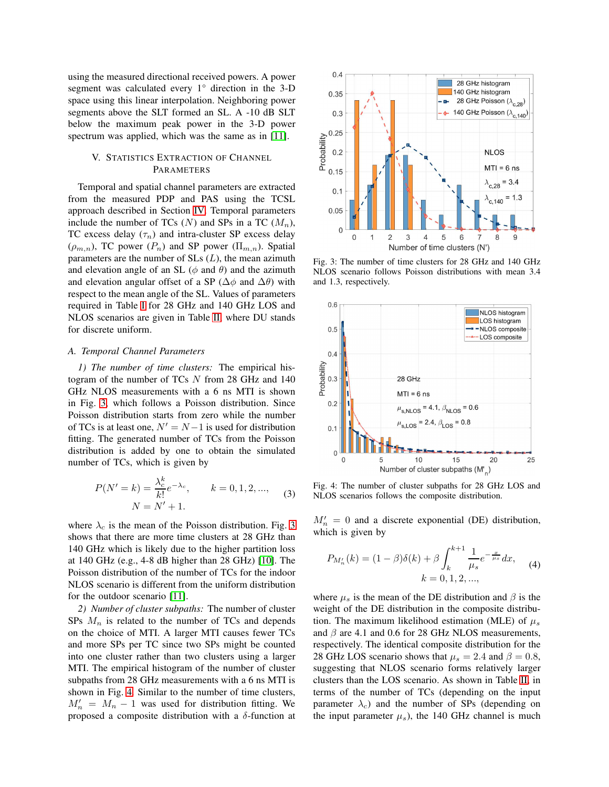using the measured directional received powers. A power segment was calculated every 1° direction in the 3-D space using this linear interpolation. Neighboring power segments above the SLT formed an SL. A -10 dB SLT below the maximum peak power in the 3-D power spectrum was applied, which was the same as in [\[11\]](#page-6-10).

# <span id="page-3-0"></span>V. STATISTICS EXTRACTION OF CHANNEL PARAMETERS

Temporal and spatial channel parameters are extracted from the measured PDP and PAS using the TCSL approach described in Section [IV.](#page-2-0) Temporal parameters include the number of TCs  $(N)$  and SPs in a TC  $(M_n)$ , TC excess delay  $(\tau_n)$  and intra-cluster SP excess delay  $(\rho_{m,n})$ , TC power  $(P_n)$  and SP power  $(\Pi_{m,n})$ . Spatial parameters are the number of  $SLs(L)$ , the mean azimuth and elevation angle of an SL ( $\phi$  and  $\theta$ ) and the azimuth and elevation angular offset of a SP ( $\Delta\phi$  and  $\Delta\theta$ ) with respect to the mean angle of the SL. Values of parameters required in Table [I](#page-4-0) for 28 GHz and 140 GHz LOS and NLOS scenarios are given in Table [II,](#page-6-19) where DU stands for discrete uniform.

## *A. Temporal Channel Parameters*

*1) The number of time clusters:* The empirical histogram of the number of TCs N from 28 GHz and 140 GHz NLOS measurements with a 6 ns MTI is shown in Fig. [3,](#page-3-1) which follows a Poisson distribution. Since Poisson distribution starts from zero while the number of TCs is at least one,  $N' = N - 1$  is used for distribution fitting. The generated number of TCs from the Poisson distribution is added by one to obtain the simulated number of TCs, which is given by

$$
P(N'=k) = \frac{\lambda_c^k}{k!} e^{-\lambda_c}, \qquad k = 0, 1, 2, ..., \qquad (3)
$$

$$
N = N' + 1.
$$

where  $\lambda_c$  is the mean of the Poisson distribution. Fig. [3](#page-3-1) shows that there are more time clusters at 28 GHz than 140 GHz which is likely due to the higher partition loss at 140 GHz (e.g., 4-8 dB higher than 28 GHz) [\[10\]](#page-6-9). The Poisson distribution of the number of TCs for the indoor NLOS scenario is different from the uniform distribution for the outdoor scenario [\[11\]](#page-6-10).

*2) Number of cluster subpaths:* The number of cluster SPs  $M_n$  is related to the number of TCs and depends on the choice of MTI. A larger MTI causes fewer TCs and more SPs per TC since two SPs might be counted into one cluster rather than two clusters using a larger MTI. The empirical histogram of the number of cluster subpaths from 28 GHz measurements with a 6 ns MTI is shown in Fig. [4.](#page-3-2) Similar to the number of time clusters,  $M'_n = M_n - 1$  was used for distribution fitting. We proposed a composite distribution with a  $\delta$ -function at

<span id="page-3-1"></span>

Fig. 3: The number of time clusters for 28 GHz and 140 GHz NLOS scenario follows Poisson distributions with mean 3.4 and 1.3, respectively.

<span id="page-3-2"></span>

Fig. 4: The number of cluster subpaths for 28 GHz LOS and NLOS scenarios follows the composite distribution.

 $M'_n = 0$  and a discrete exponential (DE) distribution, which is given by

$$
P_{M'_n}(k) = (1 - \beta)\delta(k) + \beta \int_k^{k+1} \frac{1}{\mu_s} e^{-\frac{x}{\mu_s}} dx, \quad (4)
$$

$$
k = 0, 1, 2, ...,
$$

where  $\mu_s$  is the mean of the DE distribution and  $\beta$  is the weight of the DE distribution in the composite distribution. The maximum likelihood estimation (MLE) of  $\mu_s$ and  $\beta$  are 4.1 and 0.6 for 28 GHz NLOS measurements, respectively. The identical composite distribution for the 28 GHz LOS scenario shows that  $\mu_s = 2.4$  and  $\beta = 0.8$ , suggesting that NLOS scenario forms relatively larger clusters than the LOS scenario. As shown in Table [II,](#page-6-19) in terms of the number of TCs (depending on the input parameter  $\lambda_c$ ) and the number of SPs (depending on the input parameter  $\mu_s$ ), the 140 GHz channel is much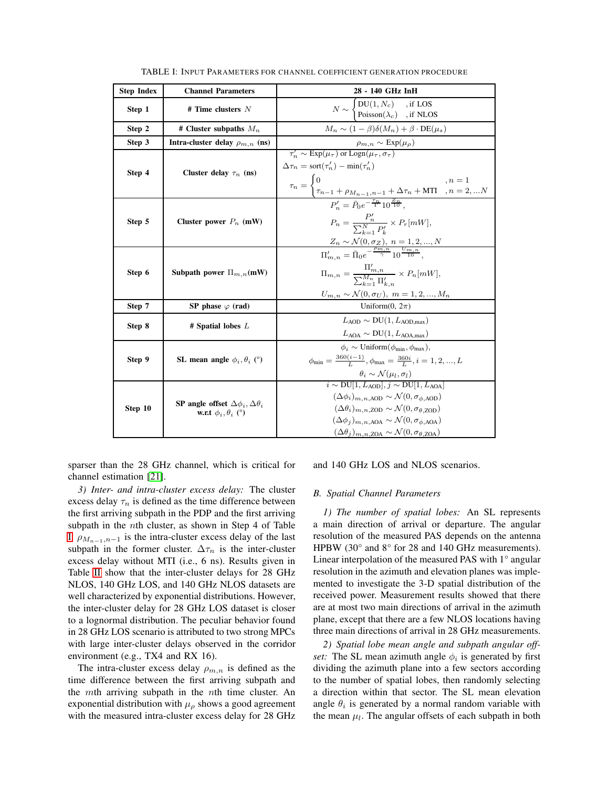<span id="page-4-0"></span>

| <b>Step Index</b> | <b>Channel Parameters</b>                                                                                                                                                                                                                                                                                               | 28 - 140 GHz InH                                                                                                                                                                                                                                                                                                                        |  |  |
|-------------------|-------------------------------------------------------------------------------------------------------------------------------------------------------------------------------------------------------------------------------------------------------------------------------------------------------------------------|-----------------------------------------------------------------------------------------------------------------------------------------------------------------------------------------------------------------------------------------------------------------------------------------------------------------------------------------|--|--|
| Step 1            | # Time clusters $N$                                                                                                                                                                                                                                                                                                     | $N \sim \begin{cases} \text{DU}(1, N_c) & \text{, if } \text{LOS} \\ \text{Poisson}(\lambda_c) & \text{, if } \text{NLOS} \end{cases}$                                                                                                                                                                                                  |  |  |
| Step 2            | # Cluster subpaths $M_n$                                                                                                                                                                                                                                                                                                | $M_n \sim (1-\beta)\delta(M_n) + \beta \cdot \text{DE}(\mu_s)$                                                                                                                                                                                                                                                                          |  |  |
| Step 3            | Intra-cluster delay $\rho_{m,n}$ (ns)                                                                                                                                                                                                                                                                                   | $\frac{\rho_{m,n}\sim\text{Exp}(\mu_{\rho})}{\tau_n'\sim\text{Exp}(\mu_{\tau})\text{ or } \text{Logn}(\mu_{\tau},\sigma_{\tau})}$                                                                                                                                                                                                       |  |  |
| Step 4            | Cluster delay $\tau_n$ (ns)                                                                                                                                                                                                                                                                                             | $\Delta \tau_n = \text{sort}(\tau'_n) - \min(\tau'_n)$<br>$\tau_n = \begin{cases} 0 & , n = 1 \\ \tau_{n-\underline{1}} + \rho_{M_{n-1}, n-1} + \Delta \tau_n + \text{MTI} & , n = 2,  N \end{cases}$                                                                                                                                   |  |  |
| Step 5            | Cluster power $P_n$ (mW)                                                                                                                                                                                                                                                                                                | $P_n' = \bar{P}_0 e^{-\frac{\tau_n}{\Gamma}} 10^{\frac{Z_n}{10}}.$<br>$P_n = \frac{P'_n}{\sum_{k=1}^N P'_k} \times P_r[mW],$                                                                                                                                                                                                            |  |  |
| Step 6            | $\frac{Z_n \sim \mathcal{N}(0, \sigma_Z), n = 1, 2, , N}{\Pi'_{m,n} = \bar{\Pi}_0 e^{-\frac{\rho_{m,n}}{\gamma}} 10^{\frac{Um,n}{10}}},$<br>$\Pi_{m,n} = \frac{\Pi'_{m,n}}{\sum_{i=1}^{M_n} \Pi'_{i}} \times P_n[mW],$<br>Subpath power $\Pi_{m,n}(\text{mW})$<br>$U_{m,n}\sim\mathcal{N}(0,\sigma_{U}),\;m=1,2,,M_{n}$ |                                                                                                                                                                                                                                                                                                                                         |  |  |
| Step 7            | SP phase $\varphi$ (rad)                                                                                                                                                                                                                                                                                                | Uniform $(0, 2\pi)$                                                                                                                                                                                                                                                                                                                     |  |  |
| Step 8            | # Spatial lobes $L$                                                                                                                                                                                                                                                                                                     | $L_{\rm{AOD}} \sim \text{DU}(1, L_{\rm{AOD\,max}})$<br>$L_{\text{AOA}} \sim \text{DU}(1, L_{\text{AOA,max}})$                                                                                                                                                                                                                           |  |  |
| Step 9            | SL mean angle $\phi_i$ , $\theta_i$ (°)                                                                                                                                                                                                                                                                                 | $\phi_i \sim \text{Uniform}(\phi_{\text{min}}, \phi_{\text{max}}),$<br>$\phi_{\min} = \frac{360(i-1)}{L}, \phi_{\max} = \frac{360i}{L}, i = 1, 2, , L$<br>$\theta_i \sim \mathcal{N}(\mu_l, \sigma_l)$<br>$i \sim \text{DU}[1, L_{\text{AOD}}], j \sim \text{DU}[1, L_{\text{AOA}}]$                                                    |  |  |
| Step 10           | SP angle offset $\Delta\phi_i, \Delta\theta_i$<br>w.r.t $\phi_i$ , $\theta_i$ (°)                                                                                                                                                                                                                                       | $(\Delta\phi_i)_{m,n \text{ AOD}} \sim \mathcal{N}(0, \sigma_{\phi \text{ AOD}})$<br>$(\Delta \theta_i)_{m,n}$ zon $\sim \mathcal{N}(0, \sigma_{\theta}$ zon)<br>$(\Delta\phi_i)_{m,n,\text{AOA}} \sim \mathcal{N}(0, \sigma_{\phi\text{AOA}})$<br>$(\Delta \theta_j)_{m,n,\text{ZOA}} \sim \mathcal{N}(0, \sigma_{\theta,\text{ZOA}})$ |  |  |

TABLE I: INPUT PARAMETERS FOR CHANNEL COEFFICIENT GENERATION PROCEDURE

sparser than the 28 GHz channel, which is critical for channel estimation [\[21\]](#page-6-20).

*3) Inter- and intra-cluster excess delay:* The cluster excess delay  $\tau_n$  is defined as the time difference between the first arriving subpath in the PDP and the first arriving subpath in the nth cluster, as shown in Step 4 of Table [I.](#page-4-0)  $\rho_{M_{n-1},n-1}$  is the intra-cluster excess delay of the last subpath in the former cluster.  $\Delta \tau_n$  is the inter-cluster excess delay without MTI (i.e., 6 ns). Results given in Table [II](#page-6-19) show that the inter-cluster delays for 28 GHz NLOS, 140 GHz LOS, and 140 GHz NLOS datasets are well characterized by exponential distributions. However, the inter-cluster delay for 28 GHz LOS dataset is closer to a lognormal distribution. The peculiar behavior found in 28 GHz LOS scenario is attributed to two strong MPCs with large inter-cluster delays observed in the corridor environment (e.g., TX4 and RX 16).

The intra-cluster excess delay  $\rho_{m,n}$  is defined as the time difference between the first arriving subpath and the mth arriving subpath in the nth time cluster. An exponential distribution with  $\mu_{\rho}$  shows a good agreement with the measured intra-cluster excess delay for 28 GHz and 140 GHz LOS and NLOS scenarios.

#### *B. Spatial Channel Parameters*

*1) The number of spatial lobes:* An SL represents a main direction of arrival or departure. The angular resolution of the measured PAS depends on the antenna HPBW (30° and 8° for 28 and 140 GHz measurements). Linear interpolation of the measured PAS with 1° angular resolution in the azimuth and elevation planes was implemented to investigate the 3-D spatial distribution of the received power. Measurement results showed that there are at most two main directions of arrival in the azimuth plane, except that there are a few NLOS locations having three main directions of arrival in 28 GHz measurements.

*2) Spatial lobe mean angle and subpath angular offset:* The SL mean azimuth angle  $\phi_i$  is generated by first dividing the azimuth plane into a few sectors according to the number of spatial lobes, then randomly selecting a direction within that sector. The SL mean elevation angle  $\theta_i$  is generated by a normal random variable with the mean  $\mu_l$ . The angular offsets of each subpath in both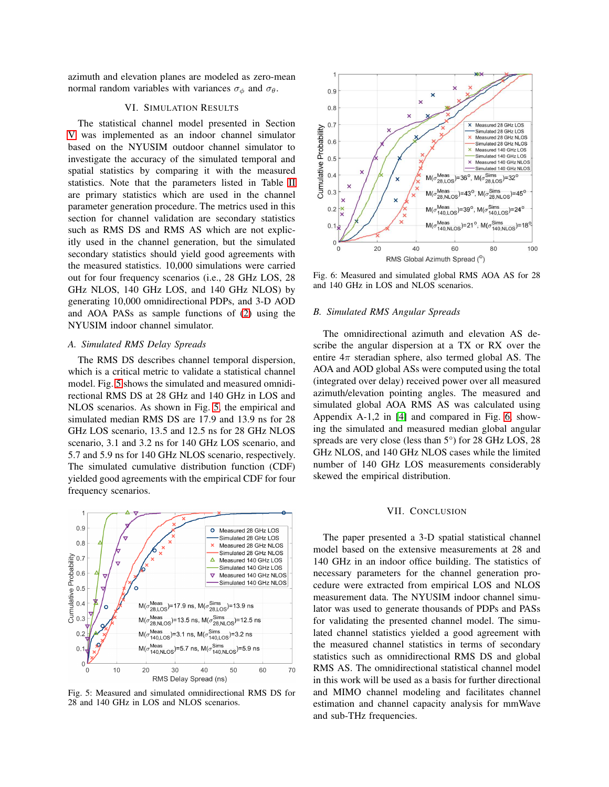<span id="page-5-0"></span>azimuth and elevation planes are modeled as zero-mean normal random variables with variances  $\sigma_{\phi}$  and  $\sigma_{\theta}$ .

# VI. SIMULATION RESULTS

The statistical channel model presented in Section [V](#page-3-0) was implemented as an indoor channel simulator based on the NYUSIM outdoor channel simulator to investigate the accuracy of the simulated temporal and spatial statistics by comparing it with the measured statistics. Note that the parameters listed in Table [II](#page-6-19) are primary statistics which are used in the channel parameter generation procedure. The metrics used in this section for channel validation are secondary statistics such as RMS DS and RMS AS which are not explicitly used in the channel generation, but the simulated secondary statistics should yield good agreements with the measured statistics. 10,000 simulations were carried out for four frequency scenarios (i.e., 28 GHz LOS, 28 GHz NLOS, 140 GHz LOS, and 140 GHz NLOS) by generating 10,000 omnidirectional PDPs, and 3-D AOD and AOA PASs as sample functions of [\(2\)](#page-2-2) using the NYUSIM indoor channel simulator.

# *A. Simulated RMS Delay Spreads*

The RMS DS describes channel temporal dispersion, which is a critical metric to validate a statistical channel model. Fig. [5](#page-5-2) shows the simulated and measured omnidirectional RMS DS at 28 GHz and 140 GHz in LOS and NLOS scenarios. As shown in Fig. [5,](#page-5-2) the empirical and simulated median RMS DS are 17.9 and 13.9 ns for 28 GHz LOS scenario, 13.5 and 12.5 ns for 28 GHz NLOS scenario, 3.1 and 3.2 ns for 140 GHz LOS scenario, and 5.7 and 5.9 ns for 140 GHz NLOS scenario, respectively. The simulated cumulative distribution function (CDF) yielded good agreements with the empirical CDF for four frequency scenarios.

<span id="page-5-2"></span>

Fig. 5: Measured and simulated omnidirectional RMS DS for 28 and 140 GHz in LOS and NLOS scenarios.

<span id="page-5-3"></span>

Fig. 6: Measured and simulated global RMS AOA AS for 28 and 140 GHz in LOS and NLOS scenarios.

## *B. Simulated RMS Angular Spreads*

The omnidirectional azimuth and elevation AS describe the angular dispersion at a TX or RX over the entire  $4\pi$  steradian sphere, also termed global AS. The AOA and AOD global ASs were computed using the total (integrated over delay) received power over all measured azimuth/elevation pointing angles. The measured and simulated global AOA RMS AS was calculated using Appendix A-1,2 in [\[4\]](#page-6-2) and compared in Fig. [6,](#page-5-3) showing the simulated and measured median global angular spreads are very close (less than 5°) for 28 GHz LOS, 28 GHz NLOS, and 140 GHz NLOS cases while the limited number of 140 GHz LOS measurements considerably skewed the empirical distribution.

#### VII. CONCLUSION

<span id="page-5-1"></span>The paper presented a 3-D spatial statistical channel model based on the extensive measurements at 28 and 140 GHz in an indoor office building. The statistics of necessary parameters for the channel generation procedure were extracted from empirical LOS and NLOS measurement data. The NYUSIM indoor channel simulator was used to generate thousands of PDPs and PASs for validating the presented channel model. The simulated channel statistics yielded a good agreement with the measured channel statistics in terms of secondary statistics such as omnidirectional RMS DS and global RMS AS. The omnidirectional statistical channel model in this work will be used as a basis for further directional and MIMO channel modeling and facilitates channel estimation and channel capacity analysis for mmWave and sub-THz frequencies.